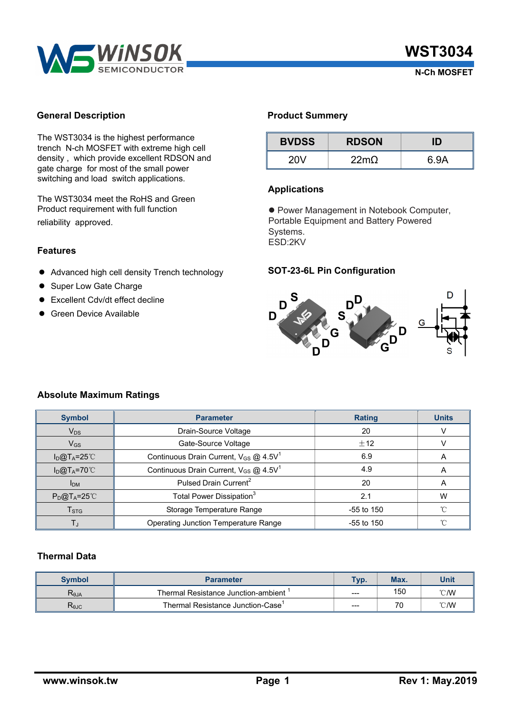

### **General Description**

The WST3034 is the highest performance trench N-ch MOSFET with extreme high cell density , which provide excellent RDSON and gate charge for most of the small power switching and load switch applications.

The WST3034 meet the RoHS and Green Product requirement with full function reliability approved.

### **Features**

- $\bullet$  Advanced high cell density Trench technology
- Super Low Gate Charge
- Excellent Cdv/dt effect decline
- **•** Green Device Available

## **Product Summery**

| <b>BVDSS</b> | <b>RDSON</b>     | ID   |  |  |
|--------------|------------------|------|--|--|
| 20V          | 22m <sub>Q</sub> | 6.9A |  |  |

### **Applications**

**• Power Management in Notebook Computer,** Portable Equipment and Battery Powered Systems. ESD:2KV

## **SOT-23-6L Pin Configuration**



## **Absolute Maximum Ratings**

| <b>Symbol</b>             | <b>Parameter</b>                                              | <b>Rating</b> | <b>Units</b> |  |
|---------------------------|---------------------------------------------------------------|---------------|--------------|--|
| $V_{DS}$                  | Drain-Source Voltage<br>20                                    |               |              |  |
| $V_{GS}$                  | Gate-Source Voltage<br>±12                                    |               |              |  |
| $I_{D}@T_{A}=25^{\circ}C$ | Continuous Drain Current, $V_{GS}$ @ 4.5V <sup>1</sup><br>6.9 |               | A            |  |
| $I_D@T_A=70°C$            | Continuous Drain Current, $V_{GS}$ @ 4.5V <sup>1</sup>        | 4.9           | A            |  |
| I <sub>DM</sub>           | Pulsed Drain Current <sup>2</sup><br>20                       |               |              |  |
| $P_{D}@T_{A}=25^{\circ}C$ | Total Power Dissipation <sup>3</sup><br>2.1                   |               | W            |  |
| T <sub>STG</sub>          | Storage Temperature Range<br>$-55$ to 150                     |               | °C           |  |
| T,                        | Operating Junction Temperature Range<br>$-55$ to 150          |               | °C           |  |

# **Thermal Data**

| <b>Symbol</b>  | <b>Parameter</b>                    | Tvp.  | Max. | Unit |
|----------------|-------------------------------------|-------|------|------|
| $R_{\theta$ JA | Thermal Resistance Junction-ambient | $---$ | 150  | °C/W |
| $R_{\theta$ JC | Thermal Resistance Junction-Case    | $---$ | 70   | °C/W |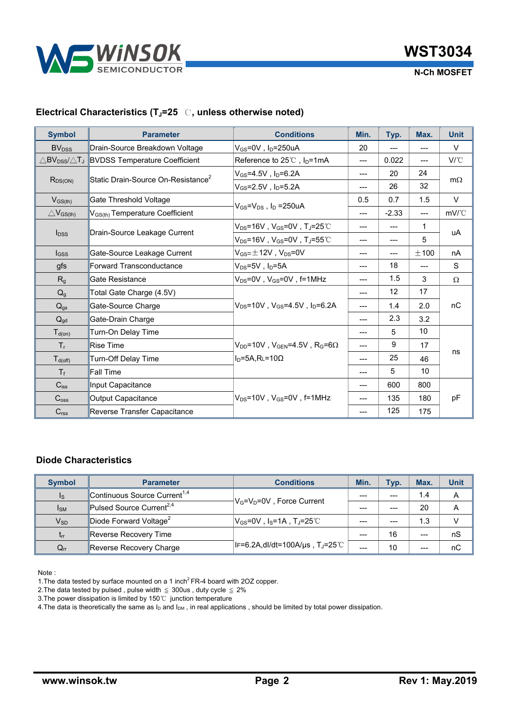

 **N-Ch MOSFET**

# **Electrical Characteristics (TJ=25** ℃**, unless otherwise noted)**

| <b>Symbol</b>                            | <b>Parameter</b>                               | <b>Conditions</b>                                                                                                                       | Min.  | Typ.    | Max.   | <b>Unit</b>                                        |
|------------------------------------------|------------------------------------------------|-----------------------------------------------------------------------------------------------------------------------------------------|-------|---------|--------|----------------------------------------------------|
| <b>BV<sub>DSS</sub></b>                  | Drain-Source Breakdown Voltage                 | V <sub>GS</sub> =0V, I <sub>D</sub> =250uA                                                                                              | 20    | $---$   | ---    | $\vee$                                             |
| $\triangle$ BV $_{\rm DSS}/\triangle$ TJ | <b>BVDSS Temperature Coefficient</b>           | Reference to $25^{\circ}$ , $I_{D}$ =1mA                                                                                                | $---$ | 0.022   | ---    | $V^{\circ}C$                                       |
| $R_{DS(ON)}$                             | Static Drain-Source On-Resistance <sup>2</sup> | $\rm V_{GS}$ =4.5V,I $\rm _D$ =6.2A                                                                                                     | $---$ | 20      | 24     | $m\Omega$                                          |
|                                          |                                                | $V_{GS} = 2.5V$ , $I_D = 5.2A$                                                                                                          | ---   | 26      | 32     |                                                    |
| $V_{GS(th)}$                             | Gate Threshold Voltage                         | $V_{GS} = V_{DS}$ , $I_D = 250uA$                                                                                                       | 0.5   | 0.7     | 1.5    | V                                                  |
| $\triangle$ V <sub>GS(th)</sub>          | V <sub>GS(th)</sub> Temperature Coefficient    |                                                                                                                                         | ---   | $-2.33$ | ---    | $mV$ <sup><math>\degree</math><math>C</math></sup> |
| $I_{DSS}$                                | Drain-Source Leakage Current                   | $\mathsf{V}_\mathsf{DS}$ =16V , $\mathsf{V}_\mathsf{GS}$ =0V , T $_\mathsf{J}$ =25℃                                                     | $---$ | $---$   | 1      | uA                                                 |
|                                          |                                                | $V_{DS}$ =16V, V <sub>GS</sub> =0V, TJ=55℃                                                                                              | ---   | ---     | 5      |                                                    |
| $_{\text{GSS}}$                          | Gate-Source Leakage Current                    | $V_{GS} = \pm 12V$ , $V_{DS} = 0V$                                                                                                      | $---$ | ---     | $+100$ | nA                                                 |
| gfs                                      | Forward Transconductance                       | $\mathsf{V}_{\mathsf{DS}}$ =5V , I <sub>D</sub> =5A                                                                                     | $---$ | 18      |        | S                                                  |
| R <sub>g</sub>                           | Gate Resistance                                | $V_{DS}$ =0V, $V_{GS}$ =0V, f=1MHz                                                                                                      | ---   | 1.5     | 3      | $\Omega$                                           |
| $Q_g$                                    | Total Gate Charge (4.5V)                       | $V_{\text{DS}}$ =10V . $V_{\text{GS}}$ =4.5V . I $_{\text{D}}$ =6.2A                                                                    | $---$ | 12      | 17     |                                                    |
| $Q_{gs}$                                 | Gate-Source Charge                             |                                                                                                                                         |       | 1.4     | 2.0    | nC                                                 |
| $Q_{gd}$                                 | Gate-Drain Charge                              |                                                                                                                                         | $---$ | 2.3     | 3.2    |                                                    |
| $T_{d(on)}$                              | Turn-On Delay Time                             | $\mathsf{V}_{\mathsf{DD}}$ =10V , $\mathsf{V}_{\mathsf{GEN}}$ =4.5V , $\mathsf{R}_{\mathsf{G}}$ =6 $\Omega$<br>$ID=5A$ , RL=10 $\Omega$ | $---$ | 5       | 10     |                                                    |
| $T_{r}$                                  | <b>Rise Time</b>                               |                                                                                                                                         | $---$ | 9       | 17     |                                                    |
| $T_{d(off)}$                             | Turn-Off Delay Time                            |                                                                                                                                         | $---$ | 25      | 46     | ns                                                 |
| $T_f$                                    | Fall Time                                      |                                                                                                                                         |       | 5       | 10     |                                                    |
| $C_{iss}$                                | Input Capacitance                              | $V_{DS}$ =10V, $V_{GS}$ =0V, f=1MHz                                                                                                     | $---$ | 600     | 800    |                                                    |
| $C_{\text{oss}}$                         | <b>Output Capacitance</b>                      |                                                                                                                                         |       | 135     | 180    | pF                                                 |
| C <sub>rss</sub>                         | Reverse Transfer Capacitance                   |                                                                                                                                         | $---$ | 125     | 175    |                                                    |

### **Diode Characteristics**

| <b>Symbol</b>           | <b>Parameter</b>                         | <b>Conditions</b>                                                   | Min.    | Typ. | Max. | <b>Unit</b> |
|-------------------------|------------------------------------------|---------------------------------------------------------------------|---------|------|------|-------------|
| $\mathsf{I}_\mathsf{S}$ | Continuous Source Current <sup>1,4</sup> |                                                                     | $- - -$ |      | 1.4  | Α           |
| $I_{SM}$                | Pulsed Source Current <sup>2,4</sup>     | $ V_G=V_D=0V$ , Force Current                                       | ---     | ---  | 20   | А           |
| $V_{SD}$                | Diode Forward Voltage <sup>2</sup>       | $ V_{\text{GS}}$ =0V , I $_{\text{S}}$ =1A , T $_{\text{J}}$ =25℃ . | ---     | ---  | 1.3  |             |
| $t_{rr}$                | Reverse Recovery Time                    |                                                                     | ---     | 16   | ---  | nS          |
| $Q_{rr}$                | Reverse Recovery Charge                  | llF=6.2A,dl/dt=100A/µs , Tյ=25℃                                     | $---$   | 10   | ---  | nС          |

Note :

1. The data tested by surface mounted on a 1 inch<sup>2</sup> FR-4 board with 2OZ copper.

2. The data tested by pulsed, pulse width  $\leq$  300us, duty cycle  $\leq$  2%

3.The power dissipation is limited by 150℃ junction temperature

4. The data is theoretically the same as  $I_D$  and  $I_{DM}$ , in real applications, should be limited by total power dissipation.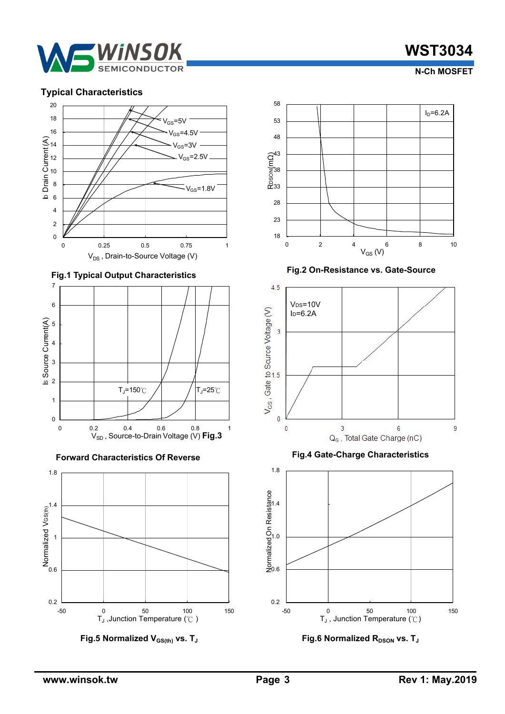

# **WST3034**

 **N-Ch MOSFET**





**Fig.1 T ypical Output Characteristics** 



**Forward Characteristics Of Reverse Fig.4 Gate-Charge Characteristics** 



**Fig.5 Normalized V<sub>GS(th)</sub> vs. T<sub>J</sub>** 



**Fig.2 On-Resistance vs. Gate-Source** 





**Fig.6 Normalized R<sub>DSON</sub> vs. T<sub>J</sub>**